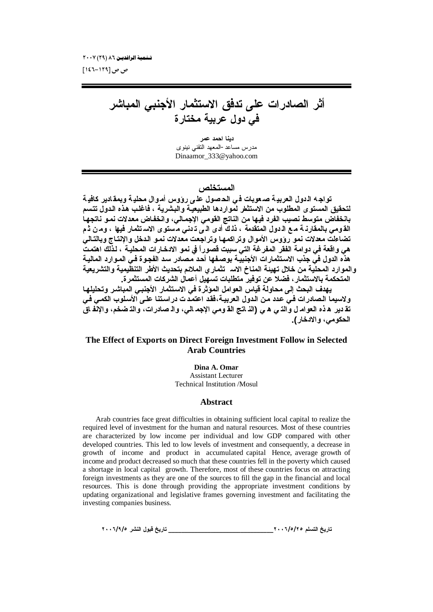ص ص [۱۲۹−۱٤٦]

أثر الصادرات عل*ى* تدفق الاستثمار الأجنب*ى* المباشر ف*ي دول* عربية مختارة

**دينا احمد عمر** مدرس مساعد-المعهد النقنى نينوي [Dinaamor\\_333@yahoo.com](mailto:Dinaamor_333@yahoo.com)

للمستخلص

تواجه الدول العربية صعوبات في الحصول على رؤوس أموال محلية وبمقادير كافية لتحقيق المستوى المطلوب من الاستثطر لمواردها الطبيعية والبشرية ، فاغلب هذه الدول تتسم بانخفاض متوسط نصيب الفرد فيها من الناتج القومى الإجمـالي، وانخفـاض معدلات نمـو نـاتجهـا القـومـى بـالمـقارنـــة مــع الـــدول المتقدمة ، ذلـ ك أدـى الـــى تـــدنـى مــستو ى الاسـ تثمـار فيـها ، ومــن ثــم تضاءلت معدلات نمو رووس الأموال وتراكمها وتراجعت معدلات نمو الدخل والإنتاج وبالتال*ي* هي واقعة في دوامة الفقر المفرغة التي سببت قصوراً في نمو الا*دخ*ارات المحليـة ، لـذلك اهتمت هذه الدول في جذب الاستثمارات الأجنبية بوصفها أحد مصادر سد الفجوة ف*ى* الموارد المالية والموارد المحلية من خلال تهينة المناخ الاس<sup>1</sup> تثمارى الملائم بتحديث الأطر التنظيمية والتشريعية **المتحكمة بالاستثمار ، فضلا عن توفير متطلبات تسهيل أعمال الشركات المستثمر ة.** 

يهدف البحث إلى محاولة قياس العوامل الموَثرة في الاستثمار الأجنبي المباشر وتحليلها ولاسيما الـصادرات فـي عدد مـن الـدول الـعربيـة،فقد اعتمـدت دراسـتنـا علـي الأسـلوب الكمـي فـي تقـ دير ِ هـ ذه الـعوامـ ل والذـ ي هـ ي (الذ اتـج الـقـ ومـى الإجمـ الـي، والـ صـادر ات، والذ ضخم، والإنّفـ اق ا**لحكومي، والادخار ).** 

## **The Effect of Exports on Direct Foreign Investment Follow in Selected Arab Countries**

**Dina A. Omar**

Assistant Lecturer Technical Institution /Mosul

#### **Abstract**

Arab countries face great difficulties in obtaining sufficient local capital to realize the required level of investment for the human and natural resources. Most of these countries are characterized by low income per individual and low GDP compared with other developed countries. This led to low levels of investment and consequently, a decrease in growth of income and product in accumulated capital Hence, average growth of income and product decreased so much that these countries fell in the poverty which caused a shortage in local capital growth. Therefore, most of these countries focus on attracting foreign investments as they are one of the sources to fill the gap in the financial and local resources. This is done through providing the appropriate investment conditions by updating organizational and legislative frames governing investment and facilitating the investing companies business.

**ÏÍÍÓ/Ö/ÒŧŬƈƃŒ¾ƍŕſţƒŧœř \_\_\_\_\_\_\_\_\_\_\_\_\_\_\_\_\_\_\_\_\_\_\_\_\_\_\_\_\_\_\_\_ÏÍÍÓ/Ò/ÏÒƅƄŪřƃŒţƒŧœř**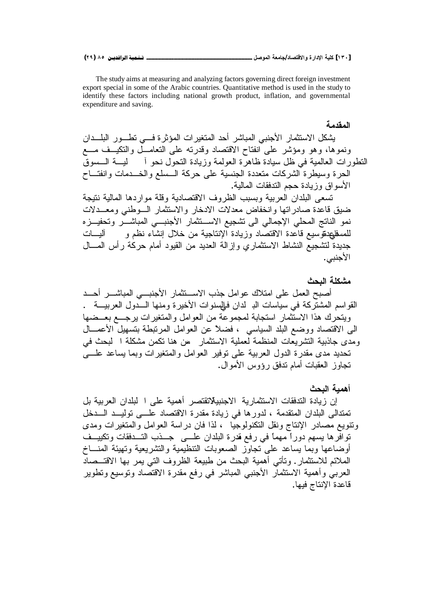The study aims at measuring and analyzing factors governing direct foreign investment export special in some of the Arabic countries. Quantitative method is used in the study to identify these factors including national growth product, inflation, and governmental expenditure and saving.

يشكل الاستثمار الأجنبي المباشر أحد المتغيرات المؤثرة فسي تطـور البلــدان ونموها، وهو ومؤشر على انفتاح الاقتصاد وقدرته على التعامــل والتكيــف مـــع التطورات العالمية في ظل سيادة ظاهرة العولمة وزيادة التحول نحو أصليب الـسوق الحرة وسيطرة الشركات متعددة الجنسية على حركة السسلع والغساح وانفتــاح الأسو اق وزيادة حجم الندفقات المالية. تسعى البلدان العربية وبسبب الظروف الاقتصادية وقلة مواردها المالية نتبجة ضيق فاعدّة صادراتها وانخفاض معدلات الادخار والاستثمار السوطني ومعـــدلات نمو الناتج المحلي الإجمالي الى تشجيع الاســـنثمار الأجنبــــى المباشــــر وتحفيـــزه للمسفليهدفوّ سيع قاعدة الاقتصاد وزيادة الإنتاجية من خلال إنشاء نظم و اليسات جديدة لتشجيع النشاط الاستثماري وإزالة العديد من القيود أمام حركة رأس المسال الأجنبي.

## مشكلة البحث

المقدمة

أصبح العمل على امتلاك عوامل جذب الاستتثمار الأجنبسي المباشسر أحـد القواسم المشتّركة في سياسات الدِ لدان فـإلسنوات الأخيرة ومنها الـــدول العربيــــة . ويتحرك هذا الاستثمار استجابة لمجموعة من العوامل والمتغيرات يرجــع بعــضها الى الاقتصاد ووضع البلد السياسي ، فضلاً عن العوامل المرتبطة بتسهيل الأعمـــال ومدى جاذبية التشريعات المنظمة لعملية الاستثمار ٍ من هنا تكمن مشكلة ا لبحث في تحديد مدى مقدر ة الدول العربية على نوفير العوامل والمتغير ات وبما يساعد علـــى تجاوز العقبات أمام ندفق رؤوس الأموال.

أهمبة البحث

إن زيادة التدفقات الاستثمارية الاجنبية(تقتصر أهمية على ا لبلدان العربية بل تمتدالى البلدان المتقدمة ، لدورها في زيادة مقدرة الاقتصاد علـــى توليـــد الـــدخل ونتويع مصادر الإنتاج ونقل التكنولوجيا ، لذا فان دراسة العوامل والمتغيرات ومدى توافرها يسهم دوراً مهماً في رفع قدرة البلدان علـــي جــذب التـــدفقات وتكييــف أو ضباعها وبما بساعد على تجاوِّز الصعوبات التنظيمية والنشر بعية وتهيئة المنساخ الملائم للاستثمار . وتأتي أهمية البحث من طبيعة الظروف التي يمر بها الاقتــصاد العربي وأهمية الاستثمار الأجنبي المباشر في رفع مقدرة الاقتصاد وتوسيع وتطوير قاعدة الإنتاج فيها.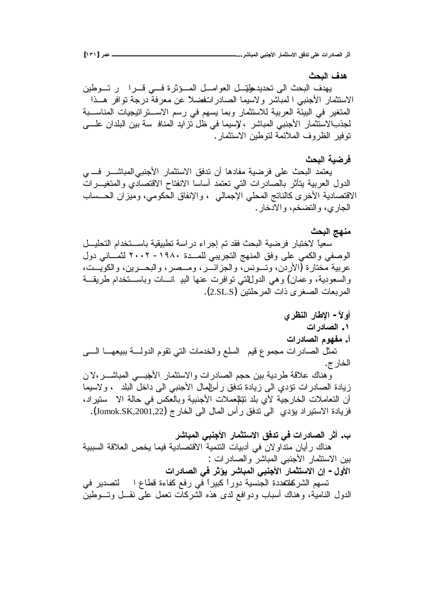ه*دف ا*لنحث يهدف البحث الى تحديد طتيل العوامــل المــؤثرة فـــى قــرا ور تــوطين الاستثمار الأجنبي ا لمباشر ولاسيما الصادراتغضلا عن معرفة درجة توافر هـذا المتغير في البيئة العربية للاستثمار وبما يسهم في رسم الاســـتراتيجيات المناســـبة لجذبالاستثمار الأجنبي المباشر ، لإسبما في ظل تزايد المناف سة بين البلدان علـــي تو فير الظر و ف الملائمة لتو طين الاستثمار .

## فر **ضبة البحث**

يعتمد البحث على فرضية مفادها أن تدفق الاستثمار الأجنبي|لمباشـــر فــــ ي الدول العربية يتأثر بالصادرات التي تعتمد أساسا الانفتاح الاقتصادي والمتغيـــرات الاقتصادية الأخرى كالناتج المحلي الإجمالي ، والإنفاق الحكومي، وميزان الحــساب الجاري، والتضخم، والادخار .

## منهج البحث

سعياً لاختبار فرضية البحث فقد تم إجراء دراسة تطبيقية باســـتخدام التحليـــل الوصفي والكمي على وفق المنهج التجريبي للمـــدة ١٩٨٠- ٢٠٠٢ لثمـــاني دول عربية مختارة (الأردن، وتــونس، والجزائــر، ومــصر، والبحــرين، والكويــت، والسعودية، وعمان) وهي الدولللتي نوافرت عنها البير انسات وباســـنخدام طريقـــة المربعات الصغرى ذات المرحلتين (2.SL.S).

أولأ – الإ**ط**ار النظرى **ŘŒŧťœŮƃŒ .Î ŘŒŧťœŮƃŒƅƍƌŽƆ .Ŋ** تمثَّل الصادرات مجموع قيم السلع والخدمات التي نقوم الدولــــة ببيعهــــا الــــي الخار ج. وهناك علاقة طردية بين حجم الصادرات والاستثمار الأخبسي المباشــــر،لان زيادة الصادرات نؤدي الى زيادة ندفق ر أسالهال الأجنبي الى داخل البلد ، ولاسيما أن التعاملات الخارجية لأي بلد تتللمعلات الأجنبية وبالعكس في حالة الا ستيراد، فزيادة الاستير اد يؤدي الي تدفق ر أس المال الي الخار ج (Jomok.SK,2001,22).

# ب. أثر الصادرات ف*ي* تدفق الاستثمار الأجنب*ي* المباشر هناك رأيان منداولان في أدبيات النتمية الاقتصادية فيما يخص العلاقة السببية بين الاستثمار الأجنبي المباشر والصادرات : الأول – إن الاستثمار الأجنبي المباشر يؤثر في الصادرات تسهم الشركلةندة الجنسية دوراً كبيراً في رفع كفاءة قطاع التصدير في الدول النامية، وهناك أسباب ودوافع لدى هذه الشركات نعمل على نقـــل وتـــوطين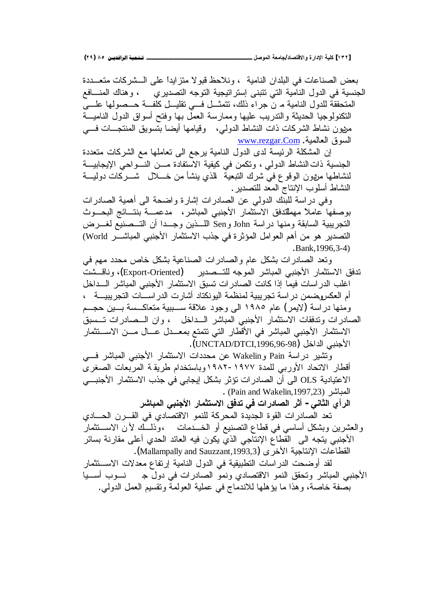**(ÏÖ) ÕÒ ÞNë¢Ë¦×ìÜàN**6666666666666666666666666666666666666666666666666666666666666666666666666666666666666666666666666**¾ŮƍƆƃŒŗŶƆœŞ/ťœŮřſƙŒƍ ŖŧŒťƗŒŗƒƄƂ [ÎÐÏ]**

بعض الصناعات في البلدان النامية ، ونلاحظ قبولا متزايدا على الــشركات متعـــددة الجنسية في الدول النامية التي تتبنى إستراتيجية التوجه التصديري ، وهناك المنسافع المتحققة للدول النامية م ن جراء ذلك، نتمثـــل فـــي نقليـــل كلفـــة حـــصولـها علــــي النكنولوجيا الحديثة والندريب عليها وممارسة العمل بها وفتح أسواق الدول الناميـــة مزيون نشاط الشركات ذات النشاط الدولمي، وقيامها أيضا بتسويق المنتجـــات فــــي <u>www.rezgar.Com</u> . ألسوفي العالمية

إن المشكلة الرئيسة لدى الدول النامية برجع الى تعاملها مع الشركات متعددة الجنسية ذات النشاط الدولي ، وتكمن في كيفية الاستفادة مـــن النـــواحي الإيجابيـــة لنشاطها مرتون الوقوع في شرك التبعية الذي بنشأ من خـــلال شـــركات دوليـــة النشاط أسلوب الإنتاج المعد للتصدير .

وفي دراسة للبنك الدولي عن الصادرات إشارة واضحة الىي أهمية الصادرات بوصفها عاملاً مهمللتدفق الاستثمار الأجنبي المباشر ، مدعمـــة بنتـــائج البحـــوث التجريبية السابقة ومنها دراسة John وSen اللـــذين وجـــدا أن التـــصنيع لغـــرض التصدير هو من أهم العوامل المؤثرة في جذب الاستثمار الأجنبي المباشـــر World) .Bank,1996,3-4)

ونعد الصادرات بشكل عام والصادرات الصناعية بشكل خاص محدد مهم في تدفق الاستثمار الأجنبي المباشر الموجه للتـــصدير (Export-Oriented)، وناقـــشت اغلب الدراسات فيما إذا كانت الصادرات تسبق الاستثمار الأجنبي المباشر الـــداخل أم العكسوضمن دراسة تجريبية لمنظمة اليونكتاد أشارت الدراســـات التجريبيـــة ، ومنها در اسة (لايمر) عام ١٩٨٥ الى وجود علاقة ســببية متعاكــسة بــبن حجــم الصادرات وندفقات الاستثمار الأجنبي المباشر الـــداخل ، وان الـــصادرات تـــسبق الاستثمار الأجنبي المباشر في الأقطار التي نتمتع بمعــدل عـــال مـــن الاســـتثمار الأجنبي الداخل (UNCTAD/DTCI,1996,96-98).

ونتثبير دراسة Pain و Wakelin عن محددات الاستثمار الأجنبي المباشر في أقطار الاتحاد الأوربي للمدة ١٩٧٧-١٩٨٢وباستخدام طريقة المربعات الصغرى الاعتيادية OLS الى أن الصادر ات نؤثر بشكل إيجابي في جذب الاستثمار الأجنبـــي . (Pain and Wakelin,1997,23)

الرأي الثان*ي* - أثر الصادرات في تدفق الاستثمار الأجنبى المباشر

تعد الصادرات القوة الجديدة المحركة للنمو الاقتصادي في القـــرن الحــــادي والعشرين وبشكل أساسي في قطاع النصنيع أو الخـــدمات ،وّذلـــك لأن الاســـتثمارً الأجنبي يتجه الى القطاع الإنتاجي الذي يكون فيه العائد الحدي أعلى مقارنة بسائر .(Mallampally and Sauzzant,1993,3) القطاعات الإنتاجية الأخر ي

لقد أوضحت الدراسات التطبيقية في الدول النامية إرتفاع معدلات الاســـتثمار ŕƔ»ŬŌŖƏ»Ɗ Š¿ƏŧƓžŚŔũŧŕŰƅŔƏƈƊƏƒŧŕŰśƁƛŔƏƈƊƅŔƀƂţśƏũŮŕŗƈƅŔƓŗƊŠƗŔ بصفة خاصة، وهذا ما يؤهلها للاندماج في عملية العولمة وتقسيم العمل الدولمي.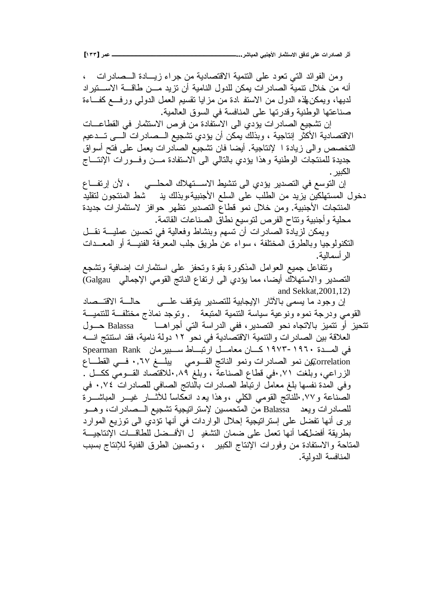ومن الفوائد التي نعود على التتمية الاقتصادية من جراء زيسادة السصادرات ، أنه من خلال نتمية الصادر ات يمكن للدول النامية أن نزيد مـــن طاقـــة الاســـتير اد لديها، ويمكن لهذه الدول من الاستفرادة من مزايا نقسيم العمل الدول<sub>ى</sub> ورفــع كفــاءة صناعتها الوطنية وقدرتها على المنافسة في السوق العالمية. إن تشجيع الصادر ات يؤدي الى الاستفادة من فرص الاستثمار في القطاعـــات الاقتصادية الأكثر إنتاجية ، وبذلك يمكن أن يؤدي تشجيع السصادرات السي تسدعيم التخصص والى زيادة ا لإنتاجية. أيضا فان تشجيع الصادرات يعمل على فتح أسواق جديدة للمنتجات الوطنية وهذا يؤدي بالتالي الىي الاستفادة مـــن وفـــورات الإنتـــاج الكىبر . إن التوسع في التصدير يؤدي الى تتشيط الاستهلاك المحلــي ، لأن إرتفــاع دخول المستهلكين بزيد من الطلب على السلع الأجنبية،وبذلك يذ لشط المنتجون لنقليد المنتجات الأجنبية. ومن خلال نمو قطاع التصدير تظهر حوافز لاستثمارات جديدة محلية وأجنبية ونتاح الفرص لتوسيع نطاق الصناعات القائمة. ويمكن لزيادة الصادرات أن تسهم وبنشاط وفعالية في تحسين عمليـــة نقـــل التكنولوجيا وبالطرق المختلفة ، سواء عن طريق جلب المعرفة الفنيـــة أو المعـــدات الر أسمالية. ونتفاعل جميع العوامل المذكورة بقوة ونحفز علمى استثمارات إضافية ونشجع التصدير والاستهلاك أيضا، مما يؤدي الى ارتفاع الناتج القومي الإجمالي Galgau) and Sekkat,2001,12) إن وجود ما يسمى بالأثار الإيجابية للتصدير يتوقف علـــي حالــــة الاقتـــصاد القومي ودرجة نموه ونوعية سياسة النتمية المتبعة . ونوجد نماذج مختلفــة للتتميــة نتحيز أو نتميز بالاتجاه نحو التصدير، ففي الدراسة التي أجراهـــا Balassa حـــول العلاقة بين الصادرات والنتمية الاقتصادية في نحو ١٢ دولة نامية، فقد استتتج انسه Spearman Rank سبيرمان Spearman Rank في المسدة ١٩٦٠-١٩٧٣ orrelationين نمو الصادرات ونمو الناتج القـــومي يبلـــغ ٠,٦٧ فـــي القطـــاع الزراعي، وبلغت ٧١,٠في قطاع الصناعة ، وبلغ ٠,٨٩للاقتصاد القــومي ككــل . وفي المدة نفسها بلغ معامل ارتباط الصادرات بالناتج الصافي للصادرات ٠,٧٤ في الصناعة و ۰۷٪ اللنانج القومي الكلبي ،وهذا يعـد انعكاساً للأثـــار غيــــر المباشــــرة للصادرات ويعد Balassa من المتحمسين لإستراتيجية تشجيع السصادرات، وهسو بري أنها نفضل على إسترانتيجية إحلال الواردات في أنها نؤدي الي نوزيع الموارد بطريقة أفضلكما أنها تعمل على ضمان النشغد ل الأفــضل للطاقـــات الإنتاجيـــة المتاحة والاستفادة من وفورات الإنتاج الكبير ، وتحسين الطرق الفنية للإنتاج بسبب المنافسة الدولية.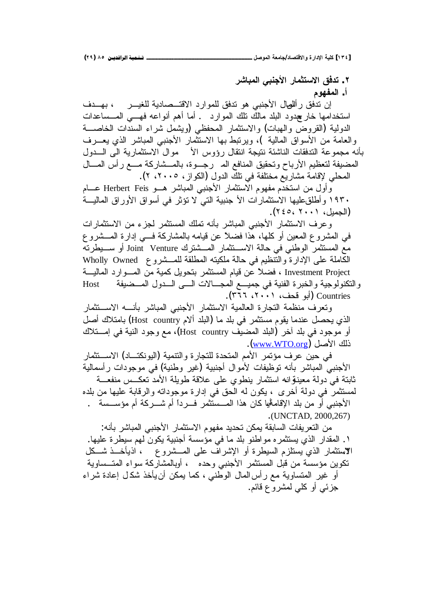**ŧŬœŕƆƃŒƑŕƈŞƕŒŧœƆśřŪƙŒžżťř .Ï** أ. ا**لمفهو**م

إن تدفق رأللصال الأجنبي هو تدفق للموارد الاقتــصادية للغيـــر ، بهـــدف استخدامها خارچدود البلد مالك تلك الموارد . أما أهم أنواعه فهـــي المـــساعدات الدولية (القروض والهبات) والاستثمار المحفظى (ويشمل شراء السندات الخاصـــة والعامة من الأسواق المالية )، ويرتبط بها الاستثمار الأجنبي المباشر الذي يعـــرف بأنه مجموعة التدفقات الناشئة نتيجة انتقال رؤوس الأ موال الاستثمارية الى الـــدول المضيفة لتعظيم الأرباح وتحقيق المنافع المـ رجــوة، بالمــشاركة مـــع رأس المـــال المحلي لإقامة مشاريع مختلفة في نلك الدول (الكواز ، ٢٠٠٥، ٢).

وأول من استخدم مفهوم الاستثمار الأجنبي المباشر هــو Herbert Feis عـــام • 19۳ و أطلق عليها الاستثمارات الأ جنبية التي لا تؤثر في أسواق الأوراق الماليــة الجميل، ٢٠٠١، ٢٤٥،

وعرف الاستثمار الأجنبي المباشر بأنه تملك المستثمر لجزء من الاستثمارات في المشروع المعين أو كلها، هذا فضلاً عن قيامه بالمشاركة فسي إدارة المـــشروع مع المستثمر الوطني في حالة الاســتثمار المــشترك Joint Venture أو ســيطرته Wholly Owned فلي الإدارة والنتظيم في حالة ملكيته المطلقة للمسشروع Wholly Owned Investment Project ، فضلاً عن قيام المستثمر بتحويل كمية من المسوارد الماليـــة والتكنولوجية والخبرة الفنية في جميــع المجـــالات الــــي الــــدول المـــضيفة Host Countries (أبو قحف، ۲۰۰۱، ۳۶۶).

ونعرف منظمة النجارة العالمية الاستثمار الأجنبي المباشر بأنسه الاسستثمار الذي يحصل عندما يقوم مستثمر في بلد ما (البلد الام Host country) بامتلاك اصل أو موجود في بلد أخر (البلد المضيف Host country)، مع وجود النية في إمـــتلاك ذلك الأصل (www.WTO.org).

في حبن عر ف مؤتمر الأمم المتحدة للتجار ة و النتمبة (البو نكتـــاد) الاســـنثمار الأجنبي المباشر بأنه توظيفات لأموال أجنبية (غير وطنية) في موجودات رأسمالية ثابتة في دولة معينةٍ انه استثمار بنطوى على علاقة طويلة الأمد تعكــس منفعـــة لمستثمر في دولة أخرى ، يكون له الحق في إدارة موجوداته والرقابة عليها من بلده الأجنبي أو من بلد الإقام<del>أل</del>يا كان هذا المــستثمر فــرداً أم شـــركة أم مؤســسة . .(UNCTAD, 2000,267)

من التعريفات السابقة يمكن تحديد مفهوم الاستثمار الأجنبي المباشر بأنه: ١. المقدار الذي يستثمره مواطنو بلد ما في مؤسسة أجنبية يكون لهم سيطرة عليها. الاستثمار الذي يستلزم السيطرة أو الإشراف على المـــشروع ، آذيأخـــذ شـــكل تكوين مؤسسة من قبل المستثمر الأجنبي وحده ، أوبالمشاركة سواء المتــساوية أو غير المتساوية مع رأس المال الوطني ، كما يمكن أنeيأخذ شكال إعادة شراء جزئبي أو كل<sub>مى</sub> لمشروع قائم.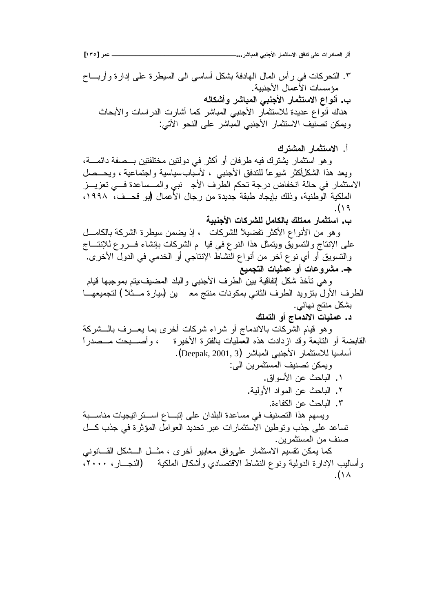**[ÎÐÒ] ŧƆŵººººººººººººººººººººººººººººººº...ŧŬœŕƆƃŒƑŕƈŞƕŒŧœƆśřŪƙŒžżťřƏƄŵŘŒŧťœŮƃŒŧśŊ**

٣. التحركات في رأس المال الهادفة بشكل أساسي الى السيطرة على إدارة وأربـــاح مؤسسات الأعمال الأجنببة. ب. أنواع الاستثمار الأجنبي المباشر وأشكاله هناك أنواع عديدة للاستثمار الأجنبي المباشر كما أشارت الدراسات والأبحاث ويمكن تصنّيف الاستثمار الأجنبي المباشر على النحو الأتي:

أ. **الاستثمار المشترك** 

وهو استثمار يشترك فيه طرفان أو أكثر في دولتين مختلفتين بـــصفة دائمـــة، ويعد هذا الشكلِكثر شيوعاً للتدفق الأجنبي ، لأسبابسياسية واجتماعية ، ويحــصل الاستثمار في حالة انخفاض درجة تحكم الطرف الأجدنبي والمسساعدة فسي تعزيــز الملكية الوطنية، وذلك بإيجاد طبقة جديدة من رجال الأعمال (بو قحــف، ١٩٩٨، .(Ï× ب. استثمار ممتلك بالكامل للشركات الأجنبية

و هو من الأنواع الأكثر تفضيلاً للشركات ، إذ يضمن سيطرة الشركة بالكامـــل على الإنتاج والتسويّق ويتمثل هذا النوع في قيا ً م الشركات بإنشاء فــروع للإنتـــاج والنسويق أو أي نوع آخر من أنواع النشاط الإنتاجي أو الخدمي في الدول الأخرى. جـ. مشروعات أو عمليات التجميع

وهي نأخذ شكل إنفاقية بين الطرف الأجنبي والبلد المضيف بيتم بموجبها قيام الطرف الأول بنزويد الطرف الثاني بمكونات منتج مع ين (ميارة مـــثلاً ) لتجميعهـــا بشكل منتج نهائي.

**ƁƄƆřƃŒƍŊŜœƆťƈƙŒŘœƒƄƆŵ .ť**

وهو قيام الشركات بالاندماج أو شراء شركات أخرى بما يعـــرف بالـــشركة القابضة أو التابعة وقد ازدادت هذه العمليات بالفترة الأخيرة ، وأصــــبحت مـــصدراً .(Deepak, 2001, 3) أساسيا للاستثمار الأجنبي المباشر وبمكن تصنيف المستثمر بن الى:

- ١ . الباحث عن الأسواق. ٢. الباحث عن المواد الأولية.
	- ٣. الباحث عن الكفاءة.

ويسهم هذا التصنيف في مساعدة البلدان على إنبـــاع اســـنز اننيجيات مناســـبة تساعد على جذب وتوطين الاستثمارات عبر تحديد العوامل المؤثرة في جذب كـــل صنف من المستثمر بن.

كما يمكن تقسيم الاستثمار علىوفق معايير أخرى ، مثـــل الــــشكل القــــانونـي وأساليب الإدارة الدولية ونوع النشاط الاقتصادي وأشكال الملكية (النجـــار ، ٢٠٠٠، .( $\lambda$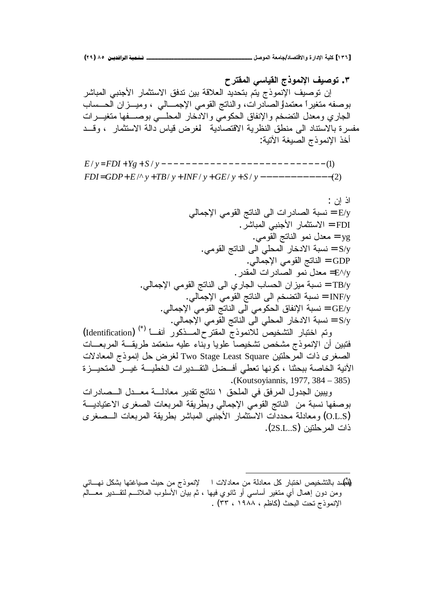**şŧřƀƆƃŒƑŪœƒƀƃŒ ŜŦƍƆƈƗŒŻƒŮƍř .Ð**

إن توصيف الإنموذج يتم بتحديد العلاقة بين تدفق الاستثمار الأجنبي المباشر بوصفه متغيراً معتمداً الصادرات، والناتج القومي الإجمــالي ، وميـــزان الحــساب الجاري ومعدل التضخم والإنفاق الحكومي والادخار المحلبي بوصـــفها متغيـــرات مفسرة بالاستناد الى منطق النظرية الاقتصادية لمغرض قياس دالة الاستثمار ، وقــد أخذ الانموذج الصبغة الآتية:

/^ / / / / (2) = + + + + + − − − − − − − − − − − − *FDI GDP E y TB y INF y GE y S y* / / (1) = + + − − − − − − − − − − − − − − − − − − − − − − − − − − − *E y FDI Yg S y*

> اذ ان : نسبة الصادرات الى الناتج القومي الإجمالي = E/y لاستثمار الأجنبي المباشر. yg = معدل نمو الناتج القومي. S/y = نسبة الادخار المحلي الى الناتج القومي. GDP = الناتج القومي الإجمالي. ت حدل نمو الصادرات المقدر. .ƓƅŕƈŠƙŔƓƈƏƂƅŔşśŕƊƅŔƑƅŔƒũŕŠƅŔ ŖŕŬţƅŔƉŔŪƔƈřŗŬƊ = TB/y .ƓƅŕƈŠƙŔƓƈƏƂƅŔşśŕƊƅŔƑƅŔƇŦŲśƅŔřŗŬƊ = INF/y نسبة الإنفاق الحكومي الى الناتج القومي الإجمالي. ﴿ وَالله S/y = نسبة الادخار المحلي الى الناتج القومي الإجمالي.

رتم اختبار التشخيص للانموذج المقترح المسذكور أنف) (Identification) فتبين أن الإنموذج مشخص تشخيصا علويا وبناء عليه سنعتمد طريقـــة المربعـــات الصغرى ذات المرحلتين Two Stage Least Square لغرض حل إنموذج المعادلات الأنية الخاصة ببحثنا ، كونها تعطي أفــضل النقــدير ات الخطيـــة غيـــر المتحيـــز ة .(Koutsoyiannis, 1977, 384 – 385)

ويبين الجدول المرفق في الملحق ١ نتائج نقدير معادلـــة معــدل الــصادرات بوصفها نسبة من الناتج القومي الإجمالي وبطريقة المربعات الصغرى الاعتياديـــة O.L.S) ومعادلة محددات الاستثمار الأجنبي المباشر بطريقة المربعات الـــصغرى ذات المر حلتين (2S.L..S).

لِثَمُلد بالتشخيص اختبار كل معادلة من معادلات ا لإنموذج من حيث صياغتها بشكل نهـــائـي ومن دون إهمال أي متغير أساسي أو ثانوي فيها ، ثم بيان الأسلوب الملائـــم لنقـــدير معـــالْم الإنموذج تحت البحث (كاظم ، ١٩٨٨ ، ٣٣) .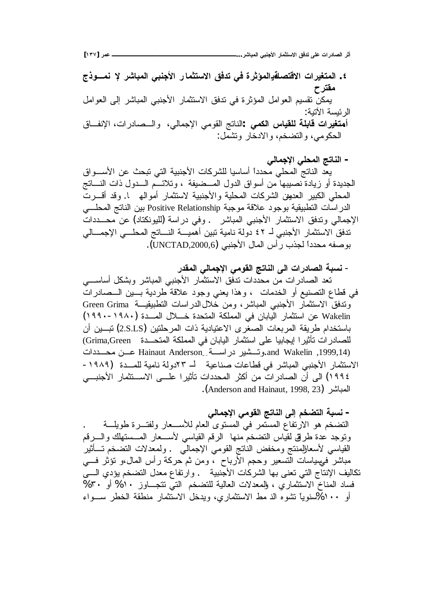**[ÎÐÔ] ŧƆŵººººººººººººººººººººººººººººººº...ŧŬœŕƆƃŒƑŕƈŞƕŒŧœƆśřŪƙŒžżťřƏƄŵŘŒŧťœŮƃŒŧśŊ**

٤. المتغيرات الاقتصلةدالمؤثرة في تدفق الاستثمار الأجنبي المباشر لإ نمـــوذج مقترح يمكن نقسيم العوامل المؤثرة في ندفق الاستثمار الأجنبي المباشر إلى العوامل الر ئبسة الآتية: أ**متغيرات قابلة للقياس الكمي** :الناتج القومي الإجمالي، والــصـادرات، الإنفــاق الحكومي، والتضخم، والادخار ونشمل:

– الناتج المحلي الإج*م*الي يعد الناتج المحلي محدداً أساسيا للشركات الأجنبية التي نبحث عن الأســـواق الجديدة أو زيادة نصيبها من أسواق الدول المــضيفة ، وتلائـــم الـــدول ذات النــــاتج المحلي الكبير العديين الشركات المحلية والأجنبية لاستثمار أمواله ١. وقد أقـــرت الدراسات النطبيقية بوجود علاقة موجبة Positive Relationship بين الناتج المحلسي الإجمالي وتدفق الاستثمار الأجنبي المباشر . وفي دراسة (للبونكتاد) عن محـــددات ندفق الاستثمار الأجنبي لـ ٤٢ دولة نامية تبين أهميـــة النـــاتج المحلـــي الإجمـــالي بوصفه محدداً لجذب رأس المال الأجنبي (UNCTAD,2000,6).

- نسبة الصادرات ال*ي* الناتج القومي الإجمال*ي* المقدر تعد الصـادرات مّن مـحدّدات ندفّق الاستثمّار الأجنبي المباشر وبشكل أساســــي في فطاع التصنيع أو الخدمات ، وهذا يعني وجود علاقة طردية بسين السصادرات وتدفق الاستثمار الأجنبي المباشر، ومن خلال الدراسات التطبيقيـــة Green Grima Wakelin عن استثمار اليابان في المملكة المتحدة خــــلال المــــدة (١٩٨٠-١٩٩٠) باستخدام طريقة المربعات الصغرى الاعتيادية ذات المرحلتين (2.S.LS) تبـــين أن للصادرات نأثيرا إيجابيا على استثمار اليابان في المملكة المتحـــدة Grima,Green) and Wakelin ,1999,14).وتَسْشِير دراستة Mainaut Anderson عـــن محـــددات الاستثمار الأجنبي المباشر في قطاعات صناعية لـ ٢٣دولة نامية للمــدة (١٩٨٩-١٩٩٤) الى أن الصادر ات من أكثر المحددات تأثير ا علـــى الاســـتثمار الأجنبـــى .(Anderson and Hainaut, 1998, 23)

– نسبة التضخم إلى الناتج القومي الإجمال*ي* التضخم هو الارتفاع المستمر في المستوى العام للأســعار ولفتـــرة طويلــــة ونوجد عدة طرقي لقياس النضخم منها الرقم القياسي لأســعار المـــستهلك والــــرقم القياسي لأسعارللمنتج ومخفض النانج القومي الإجمالـّي ولمعدلات النضخم تــــأثبر مباشر فمهمياسات الّمنسعير وحجم الأرباح ، ومن ثم حركة رأس المال،و نؤثر فسي تكاليف الإنتاج التي تعني بها الشركات الأجنبية . وارتفاع معدل التضخم يؤدي السي فساد المناخ الاستثماري ، وللمعدلات العالية للتضخم التي نتجـــاوز ١٠% أو ٣٠% أو ١٠٠%سنوياً نتثىوه الذ مط الاستثماري، ويدخل الاستثمار منطقة الخطر ســـواء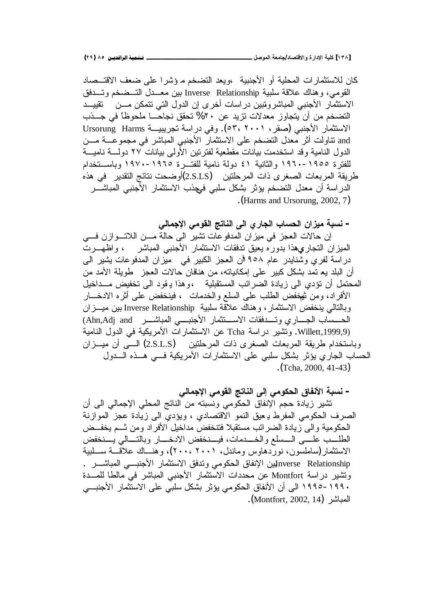كان للاستثمارات المحلية أو الأجنبية ،ويعد التضخم مـ ؤشرا على ضعف الاقتـــصاد القومي، وهناك علاقة سلبية Inverse Relationship بين معــدل التــضخم وتــدفق الاستثمار الأجنبي المباشرونتيين دراسات أخرى إن الدول التي نتمكن مـــن تقييـــد التضخم من أن يتجاوز معدلات تزيد عن ٢٠% تحقق نجاحـــا ملحوظاً في جـــذب الاستثمار الأجنبي (صقر، ٥٣، ٢٠٠١). وفي دراسة تجريبيــة Ursorung Harms and نتاولت أثر معدل التضخم على الاستثمار الأجنبي المباشر في مجموعــــة مـــن الدول النامية وقد استخدمت بيانات مقطعية لفترنين الأولمي بيانات ٢٧ دولــــة ناميــــة للفترة ١٩٥٥-١٩٦٠ والثانية ٤١ دولة نامية للفتـــرة ١٩٦٥-١٩٧٠ وباســتخدام طريقة المربعات الصغرى ذات المرحلتين (2.S.LS)أوضحت نتائج التقدير في هذه الدر اسة أن معدل التضخم يؤثر بشكل سلبي ف<sub>ع</sub>جذب الاستثمار الأجنبي المباشـــر .(Harms and Ursorung, 2002, 7)

– نسبة ميزان الحساب الجاري ال*ى* الناتج القوم*ى* الإجمال*ى* 

إن حالات العجز في ميزان المدفوعات تشير الى حالة مـــن اللاتـــوازن فــــي المميزان التجاري\$ذا بدوره يعيق تدفقات الاستثمار الأجنبي المباشر ، واظهـــرت دراسة لفري وشنايدر عام ٩٥٨ أن العجز الكبير في ميزان المدفوعات يشير المي أن البلد يع تمد بشكل كبير على إمكانياته، من هنافان حالات العجز طويلة الأمد من المحتمل أن تؤدي الى زيادة الضرائب المستقبلية ،وهذا يـقود الى تخفيض مـــداخيل الأفراد، ومن نيهخفض الطلب على السلع والخدمات ، فينخفض على أثره الادخــــار وبالتالي ينخفض الاستثمار ، وهناك علاقة سلبية Inverse Relationship بين ميـــزان (Ahn,Adj and ũ»»ŮŕŗƈƅŔƓ»»ŗƊŠƗŔũŕƈŝś»»ŬƛŔŚŕƂžŧ»»śƏƒũŕ»»ŠƅŔŖŕŬ»»ţƅŔ Willett,1999,9). وتشير دراسة Tcha عن الاستثمارات الأمريكية في الدول النامية وباستخدام طريقة المربعات الصغرى ذات المرحلتين (2.S.L.S) السي أن ميسـزان الحساب الجاري يؤثر بشكل سلبي على الاستثمارات الأمريكية فسي هــذه الـــدول .(Tcha, 2000, 41-43)

– نسبة الأنفاق الحكوم*ى* إل*ى* الناتج القومى الإجمال*ى* 

تشير زيادة حجم الإنفاق الحكومي ونسبته من الناتج المحلي الإجمالي الى أن الصرف الحكومي المفرط يعيق النمو الاقتصادي ، ويؤدي الى زيادة عجز الموازنة الحكومية والى زيادة الضرائب مستقبلا فتنخفض مداخيل الأفراد ومن ثــم يخفــض الطلسب علسي السسلع والخسدمات، فيسنخفض الادخسار وبالتسالي يسنخفض الاستثمار (ساملسون، نوردهاوس وماندل، ۲۰۰۱ ،۲۰۰)، وهنـــاك علاقــــة ســـلبية nverse Relationshipيين الإنفاق الحكومي وندفق الاستثمار الأجنبـــي المباشـــر . ونشير دراسة Montfort عن محددات الاستثمار الأجنبي المباشر في مالطا للمــدة • ١٩٩م - ١٩٩٥ الى أن الأنفاق الحكومي يؤثر بشكل سلبي على الاستثمار الأجنبـــي المباشر (Montfort, 2002, 14).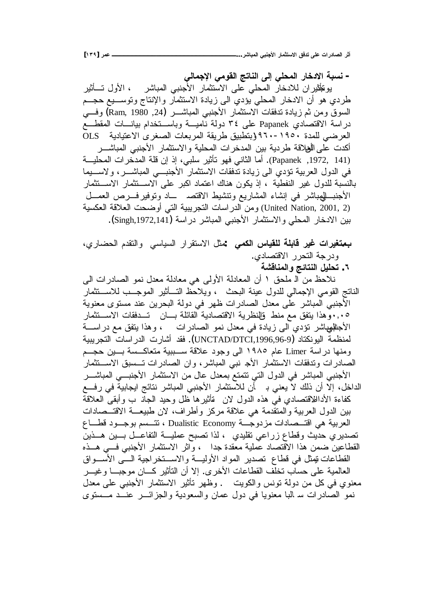– نسبة الا*ن*خار المحلي إلى الناتج القومي الإجمالي يونَجلْثيران للادخار المحلي على الاستثمار الأجنبي المباشر ، الأول تـــأثير طردي هو أن الادخار المحلي يؤدي الى زيادة الاستثمار والإنتاج ونوســـيع حجـــم السوق ومن ثم زيادة ندفقات الاستثمار الأجنبي المباشــــر (24, Ram, 1980) وفـــي دراسة الاقتصادي Papanek على ٣٤ دولة ناميـــة وباســتخدام بيانـــات المقطـــع OLS العرضي للمدة ١٩٥٠-١٩٦٠ (بتطبيق طريقة المربعات الصغرى الاعتيادية أكدت على الأفلاقة طر دية بين المدخر ات المحلية و الاستثمار الأجنبي المباشـــر (141 ,1972, Papanek). أما الثاني فهو تأثير سلبي، إذ إن قلة المدخرات المحليـــة في الدول العربية تؤدي الى زيادة تدفقات الاستثمار الأجنبي المباشير ، ولاسيهما بالنسبة للدول غير النفطية ، إذ يكون هناك اعتماد اكبر على الاســـتثمار الاســتثمار الأجنبــــللمهباشر في إنشاء المشاريع ونتشيط الاقتصــــــــاد ونوفير فــــرص العمـــل رمن الدراسات النجريبية التي أوضحت العلاقة العكسية (United Nation, 2001, 2 بين الادخار المحلي والاستثمار الأجنبي المباشر دراسة (Singh,1972,141).

**بمتغيرات غير قابلة للقياس الكمي** نمثل الاستقرار السياسي والنقدم الحضاري، ودرجة التحرر الاقتصاد*ي*.

**ŗŬſœƈƆƃŒƍŝőœřƈƃŒ¾ƒƄšř .Ó**

نلاحظ من الـ ملحق ١ أن المعادلة الأولى هي معادلة معدل نمو الصـادرات الـي الناتج القومي الإجمالي للدول عينة البحث ، ويلاحظ التـــأثير الموجـــب للاســـنثمار الأجنبي المباشر على معدل الصادرات ظهر في دولة البحرين عند مستوى معنوية ٠,٠٥و هذا يتفق مع منط قالنظرية الاقتصادية القائلة بسان تسدفقات الاسستثمار الأجللهباشر نؤدي الى زيادة في معدل نمو الصادرات ، وهذا يتفق مع در اســـة لمنظمة البونكثاد (UNCTAD/DTCI,1996,96-9). فقد أشار ت الدر اسات النجر بببة ومنها در اسة Limer عام ١٩٨٥ الى وجود علاقة ســـببية متعاكــسة بـــين حجـــم الصادرات وتدفقات الاستثمار الأج نبي المباشر، وان الصادرات تسسبق الاستثمار الأجنبي المباشر في الدول التي تتمتع بمعدل عال من الاستثمار الأجنبـــي المباشـــر الداخل، إلَّا أن ذلك لاّ يعني بـ أن للاستثمار الأجنبي المباشر نتائج ايجابيةً في رفــع كفاءة الأداللاقتصادي في هذه الدول لان قأنثيرها ظل وحيد الجاذ ب وأبقى العلاقة بين الدول العربية والمتقدمة هي علاقة مركز وأطراف، لان طبيعـــة الاقتـــصـادات العربية هي اقتـــصـادات مزدوجـــة Dualistic Economy ، تتـــسم بوجـــود قطــــاع تصديري حديث وقطاع زراعي نقليدي ، لذا تصبح عمليـــة التفاعـــل بـــين هـــذين القطاعين ضمن هذا الاقتصاد عملية معقدة جدا ، واثر الاستثمار الأجنبي فسي هــذه القطاعات تيمثل في قطاع تصدير المواد الأوليـــة والاســـتخر اجية الــــي الأســـواق العالمية على حساب نخلف القطاعات الأخرى. إلا أن النأثير كـــان موجبـــا وغيــــر معنوي في كل من دولة نونس والكويت . وظهر تأثير الاستثمار الأجنبي على معدل نمو الصادرات سـ البا معنويا في دول عمان والسعودية والجزائــــر عنـــد مـــستوى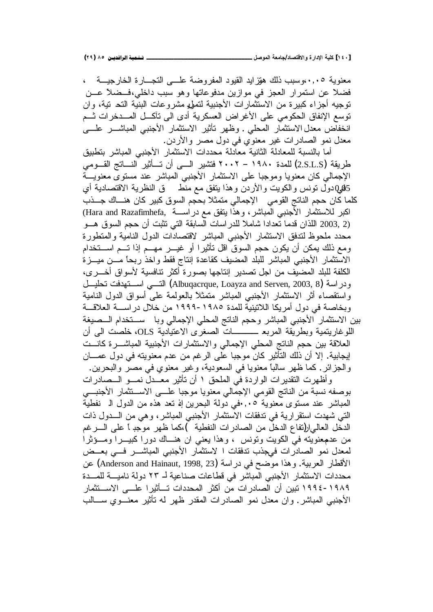معنوية ٠,٠٥،وسبب ذلك هوّز ايد القيود المفروضة علـــي التجـــارة الخارجيـــة ، فضلا عن استمرار العجز في موازين مدفوعاتها وهو سبب داخلي،فـضلا عـــن توجيه أجزاء كبيرة من الاستثمارات الأجنبية لتمول مشروعات البنية التح تية، وان توسع الإنفاق الحكومي على الأغراض العسكرية أدى الى تآكــل المــدخرات ثــم انخفاض معدل الاستثمار المحلي . وظهر تأثير الاستثمار الأجنبي المباشـــر علــــي معدل نمو الصادرات غير معنوي في دول مصر والأردن.

أما بالنسبة للمعادلة الثانية معادلة محددات الاستثمار الأجنبي المباشر بتطبيق طريقة (2.S.L.S) للمدة ١٩٨٠ – ٢٠٠٢ فتشير السي أن تسأثير النساتج القـــومي الإجمالي كان معنويا وموجبا على الاستثمار الأجنبي المباشر عند مستوى معنويـــة ؤكوبول نونس والكويت والأردن وهذا يتفق مع منط ق النظرية الاقتصادية أي D كلما كان حجم الناتج القومي الإجمالي متمثلا بحجم السوق كبير كان هنساك جسذب اكبر للاستثمار الأجنبي المباشر، وهذا يتفق مع دراســـة Hara and Razafimhefa, ك اللذان قدما تعدادا شاملا للدراسات السابقة التي تثبت أن حجم السوق هـــو (2003, 2 محدد ملحوظ لتدفق الاستثمار الأجنبي المباشر لاقتصادات الدول النامية والمنطورة ومع ذلك يمكن أن يكون حجم السوق اقل تأثيرا أو غيـــر مهـــم إذا تـــم اســـتخدام الاستثمار الأجنبي المباشر للبلد المضبف كقاعدة إنتاج فقط واخذ ربحاً مـــن ميـــزة الكلفة للبلد المضيف من اجل تصدير إنتاجها بصورة أكثر تنافسية لأسواق أخـــري، ودر اسة (Albuqacrque, Loayza and Serven, 2003, 8) التسبي اسستهدفت نحليسل واستقصاء أثر الاستثمار الأجنبي المباشر متمثلاً بالعولمة على أسواق الدول النامية وبخاصة في دول أمريكا اللاتينية للمدة ١٩٨٥-١٩٩٩ من خلال در اســـة العلاقـــة بين الاستثمار الأجنبي المعباشر وحجم الناتج المحلي الإجمالي وبا ســــنخدام الـــصيغة اللوغاريتمية وبطريقة المربع ـــــــــات الصغرى الاعتيادية OLS، خلصت الى أن العلاقة بين حجم الناتج المحلي الإجمالي والاستثمارات الأجنبية المباشـر ة كانــت ايجابية. إلا أن ذلك التأثير كان موجبا على الرغم من عدم معنويته في دول عمــــان والجزائر . كما ظهر سالباً معنويا في السعودية، وغير معنوي في مصر والبحرين. وأظهرت التقديرات الواردة في الملحق ١ أن تأثير معــدل نمــو الــصادرات بوصفه نسبة من الناتج القومي الإجمالي معنويا موجبا علـــي الاســـنثمار الأجنبـــي

المباشر عند مستوى معنوية ٠,٠٥في دولة البحرين إه نعد هذه من الدول ال نفطية التي شهدت استقرارية في تدفقات الاستثمار الأجنبي المباشر، وهي من السدول ذات الدخل العالىار(تفاع الدخل من الصادرات النفطية )،كما ظهر موجدٍ أ على السرغم من عنمعنويته في الكويت وتونس ، وهذا يعني ان هنساك دورا كبيـــرا ومـــؤثرا لمعدل نمو الصادرات فيجذب تدفقات ا لاستثمار الأجنبي المباشـــر فـــي بعــض الأقطار العربية. وهذا موضح في دراسة (Anderson and Hainaut, 1998, 23) عن محددات الاستثمار الأجنبي المباشر في قطاعات صناعية لـ ٢٣ دولة ناميــــة للمـــدة ١٩٨٩–١٩٩٤ تبين أن الصادرات من أكثر المحددات تــأثير ا علـــى الاســتثمار الأجنبي المباشر ـ وان معدل نمو الصادرات المقدر ظهر له تأثير معنـــوي ســـالب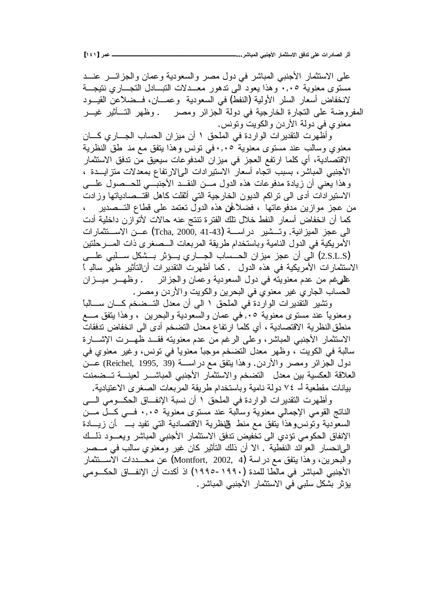على الاستثمار الأجنبي المباشر في دول مصر والسعودية وعمان والجزائـــر عنـــد مستوى معنوية ٠,٠٥ وهذا يعود الى ندهور معــدلات النبــادل النجـــاري نتيجـــة لانخفاض أسعار السلر الأولية (النفط) في السعودية وعمــــان، فـــضلاعن القيـــود المفروضة على النجارة الخارجية في دولة الجزائر ومصر . وظهر التـــأثير غيـــر معنوى في دولة الأردن والكويت ونونس.

وأظهرت النقديرات الواردة في الملحق ١ أن ميزان الحساب الجـــاري كــــان معنوي وسالب عند مستوى معنوية ٠,٠٥في نونس وهذا يتفق مع مذ طق النظرية الاقتصادية، أي كلما ارتفع العجز في ميزان المدفوعات سيعيق من تدفق الاستثمار الأجنبي المباشر ، بسبب اتجاه أسعار الاستيرادات الىإلارتفاع بمعدلات متزايـــدة ، وهذا يعني أن زيادة مدفوعات هذه الدول مـــن النقـــد الأجنبـــي للـحــصول علــــي الاستيرادات أدى الي نراكم الديون الخارجية التي أثقلت كاهل اقتـــصـادياتها وزادت من عجز موازين مدفوعاتها ، فضلاًطق هذه الدول تعتمد على قطاع التــصدير \_ ، كما أن انخفاض أسعار النفط خلال نلك الفترة تنتج عنه حالات لأتوازن داخلية أدت الحي عجز الميزانية. وتـــشير دراســــة (Tcha, 2000, 41-43) عـــن الاســـتثمارات الأمريكية في الدول النامية وباستخدام طريقة المربعات الـــصغرى ذات المــــرحلتين (2.S.L.S) الى أن عجز ميزان الحــساب الجــاري يـــؤثر بـــشكل ســـلبي علـــي الاستثمارات الأمريكية في هذه الدول . كما أظهرت التقديرات أنالتأثير ظهر سالد أ طلهيغم من عدم معنويته في دول السعودية وعمان والجزائر . وظهـــر ميـــزان الحساب الجاري غير معنوي في البحرين والكويت والاردن ومصر .

ونتثبير التقديرات الواردة في الملحق ١ الى أن معدل التــضخم كــان ســالبا ومعنوياً عند مستوى معنوية ٠.٠هي عمان والسعودية والبحرين ، وهذا يتفق مـــع منطق النظرية الاقتصادية ، أي كلما ارتفاع معدل التضخم أدى الى انخفاض تدفقات الاستثمار الأجنبي المباشر، وعلى الرغم من عدم معنويته فقــد ظهــرت الإشـــارة سالبة في الكويت ، وظهر معدل التضخم موجبًا معنويًا في نونس، وغير معنوي في دول الجزائر ومصر والأردن. وهذا يتفق مع دراســة (Reichel, 1995, 39) عــن العلاقة العكسية بين معدل التضخم والاستثمار الأجنبي المباشـــر لعينــــة تـــضمنت بيانات مقطعية لـ ٧٤ دولة نامية وباستخدام طريقة المربعات الصغرى الاعتيادية.

وأظهرت التقديرات الواردة في الملحق ١ أن نسبة الإنفاق الحكــومي الـــي الناتج القومي الإجمالي معنوية وسالبة عند مستوى معنوية ٠,٠٥ فسي كسل مسن السعودية ونونسوهذا يتفق مع منط فللظرية الاقتصادية التبي تفيد بـــــ أن زيــــادة الإنفاق الحكومي نؤدي الى نخفيض ندفق الاستثمار الأجنبي المباشر ويعـود ذلــك الميانحسار العوائد النفطية . الا أن ذلك التأثير كان غير ومعنوي سالب في مـــصر والبحرين، وهذا ينفق مع دراسة (Montfort, 2002, 4) عن محـــددات الاســـنثمار الأجنبي المباشر في مالطا للمدة (١٩٩٠–١٩٩٥) اذ أكدت أن الإنفــاق الحكـــومي يؤثر بشكل سلبي في الاستثمار الأجنبي المباشر .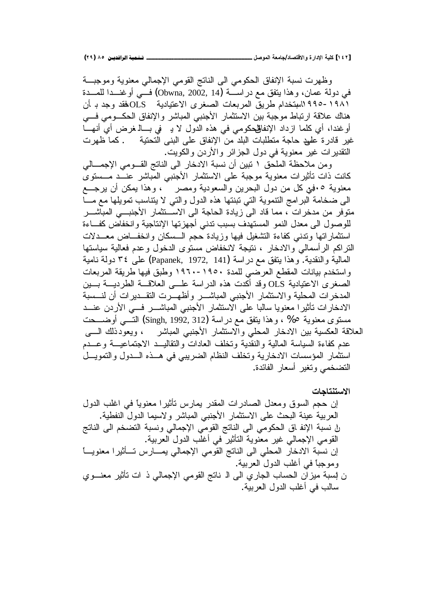وظهرت نسبة الإنفاق الحكومي الىي الناتج القومي الإجمالي معنوية وموجبــة في دولة عمان، وهذا يتفق مع دراســــة (Obwna, 2002, 14) فـــي أوغنـــدا للمـــدة ١٩٨١ -١٩٩٥ السبتخدام طريق المربعات الصغرى الاعتيادية OLSفقد وجد بـ أن هناك علاقة ارتباط موجبة بين الاستثمار الأجنبي المباشر والإنفاق الحكـــومي فــــي أوغندا، أي كلما ازداد الإنفاللحكومي في هذه الدول لا بـ في بـــالـ غرض أي أنهـــا غير قادرة عليد حاجة منطلبات البلد من الإنفاق على البني التحتية . كما ظهرت النقديرات غير معنوية في دول الجزائر والأردن والكويت.

ومن ملاحظة الملحق ١ نبين أن نسبة الادخار الى الناتج القـــومي الإجمــــالي كانت ذات تأثيرات معنوية موجبة على الاستثمار الأجنبي المُباشر عنــد مـــستوى معنوية ٥.في كل من دول البحرين والسعودية ومصر ، وهذا يمكن أن يرجـــع البي ضخامة البرامج التتموية التي نبنتها هذه الدول والتي لا يتناسب تمويلها مع مـــا متوفر من مدخرات ً، مما قاد الى زيادة الحاجة الى الاســتثمار الأجنبـــى المباشـــر للوصول الى معدل النمو المستهدف بسبب ندنى أجهزتها الإنتاجية وانخفاض كفــاءة استثماراتها وندنى كفاءة التشغيل فيها وزيادة حجم السسكان وانخفــاض معـــدلات النزاكم الرأسمالي والادخار ، نتيجة لانخفاض مستوى الدخول وعدم فعالية سياستها المالية والنقدية. وهذا ينفق مع دراسة (Papanek, 1972, 141) على ٣٤ دولة نامية واستخدم بيانات المقطع العرضي للمدة ١٩٥٠-١٩٦٠ وطبق فيها طريقة المربعات الصغرى الاعتيادية OLS وقد أكدت هذه الدراسة علـــي العلاقـــة الطرديـــة بـــين المدخرات المحلية والاستثمار الأجنبي المباشـــر وأظهـــرت النقـــديرات أن لنـــسبة الادخارات نأثيرا معنويا سالبا على الاستثمار الأجنبي المباشــــر فـــي الأردن عنـــد مستوى معنوية 6% ، وهذا يتفق مع دراسة (Singh, 1992, 312) التــــي أوضــــحت العلاقة العكسية بين الادخار المحلي وألاستثمار الأجنبي المباشر ، ويعودذلك الــــى عدم كفاءة السياسة المالية والنقدية ونخلف العادات والنقاليــد الاجتماعيـــة وعـــدم استثمار المؤسسات الادخارية وتخلف النظام الضريبي في هــذه الــدول والتمويــل التضخمي وتغير أسعار الفائدة.

الا**ستنتاجات** إن حجم السوق ومعدل الصادرات المقدر بمارس نأثيرا معنوياً في اغلب الدول العربية عينة البحث على الاستثمار الأجنبي المباشر ولاسيما الدول النفطية. لِ نسبة الإنفاق الحكومي الى الناتج القومي الإجمالي ونسبة التضخم الى الناتج القومي الإجمالي غير معنوية التأثير في أغلب الدول العربية. إن نسبة الادخار المحلي الى الناتج القومي الإجمالي يمـــارس تـــأثيرا معنويــــأ وموجبًا في أغلب الدول العربية. ن إسبة ميزان الحساب الجاري الى الـ ناتج القومي الإجمالي ذ ات تأثير معنـــوي سالب في أغلب الدول العربية.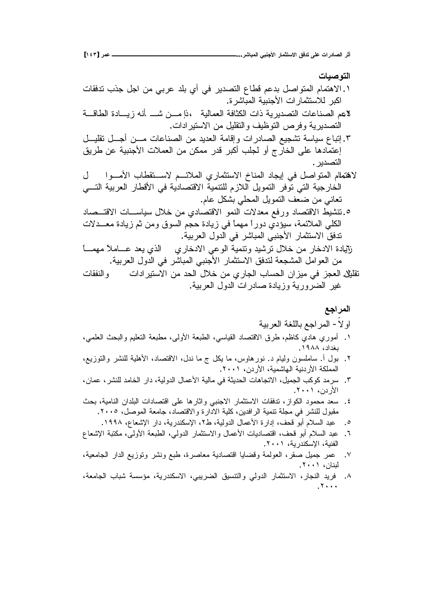# ا**لته صبـات** ۰. الاهتمام المتواصل بدعم قطاع التصدير في أي بلد عربي من اجل جذب تدفقات اكير للاستثمار ات الأجنيبة المياشر ة. لاعم الصناعات التصديرية ذات الكثافة العمالية ،ذإ مـــن شـــ أنه زيــــادة الطاقـــة التصديرية وفرص التوظيف والتقليل من الاستير ادات. ٣. إنباع سياسة نشجيع الصادر ات و إقامة العديد من الصناعات مـــن أجـــل نقليـــل إعتمادها على الخارج أو لجلب أكبر قدر ممكن من العملات الأجنبية عن طريق التصدير . لاهتمالم المنواصل في إيجاد المناخ الاستثماري الملائــم لاســتقطاب الأمــوا الخارجية التي توفر التمويل اللازم للتتمية الاقتصادية في الأقطار العربية التـــي تعاني من ضعف النمويل المحلي بشكل عام. ه نتشيط الاقتصاد ورفع معدلات النمو الاقتصادي من خلال سياســـات الاقتـــصاد الكلي الملائمة، سيؤدي دوراً مهماً في زيادة حجم السوق ومن ثم زيادة معــدلات تدفق الاستثمار الأجنبي المباشر في الدول العربية. زايادة الادخار من خلال ترشيد ونتمية الوعبي الادخاري الذي يعد عـــاملاً مهمــــا .<br>ثقافة المربية.<br>ثقافة العضر في منذان المصادر المطوع عضر غلال المدين الله عبدادات

 ŚŕƂſƊƅŔƏ ŚŔŧŔũƔśŬƛŔƉƈŧţƅŔ¿ƜŦƉƈƒũŕŠƅŔŖŕŬţƅŔƉŔŪƔƈƓžŪŠŸƅŔ¿ƔƆƂś .Õ .řƔŗũŸƅŔ¿ƏŧƅŔ ŚŔũŧŕŰ ŘŧŕƔŪƏřƔũƏũŲƅŔũƔŻ

## المراجع

## او لا- المراجع باللغة العربية

- ا . أموري هادي كاظم، طرق الاقتصاد القياسي، الطبعة الأولى، مطبعة النعليم والبحث العلمي، بغداد، ١٩٨٨.
- ۲ . بول أ. ساملسون وليام د. نورهاوس، ما يكل ج ما ندل، الاقتصاد، الأهلية للنشر والتوزيع، المملكة الأردنية الـهاشمية، الأردن، ٢٠٠١.
- ٣. سرمد كوكب الجميل، الاتجاهات الحديثة في مالية الأعمال الدولية، دار الخامد للنشر ، عمان ، الأردن، ۲۰۰۱.
- ٤. سعد محمود الكواز، تدفقات الاستثمار الاجنبي وإثارها على اقتصادات البلدان النامية، بحث مقبول للنشر في مجلة نتمية الرافدين، كلية الادارة والاقتصاد، جامعة الموصل، ٢٠٠٥.
	- 0 . عبد السلام أبو قحف، إدارة الأعمال الدولية، ط٢، الإسكندرية، دار الإشعاع، ١٩٩٨.
- ٢. عبد السلام أبو قحف، اقتصاديات الأعمال والاستثمار الدولي، الطبعة الأولى، مكتبة الإشعاع الفنية، الإسكندرية، ٢٠٠١.
- Y. عمر جميل صقر، العولمة وقضايا اقتصادية معاصرة، طبع ونشر وتوزيع الدار الجامعية، لبنان، ۲۰۰۱.
- řŸƈŕŠƅŔ ŖŕŗŮ řŬŬŎƈ řƔũŧƊƄŬƛŔ ƓŗƔũŲƅŔ ƀƔŬƊśƅŔƏ ƓƅƏŧƅŔ ũŕƈŝśŬƛŔ ũŕŠƊƅŔ ŧƔũž .Ö  $.7...$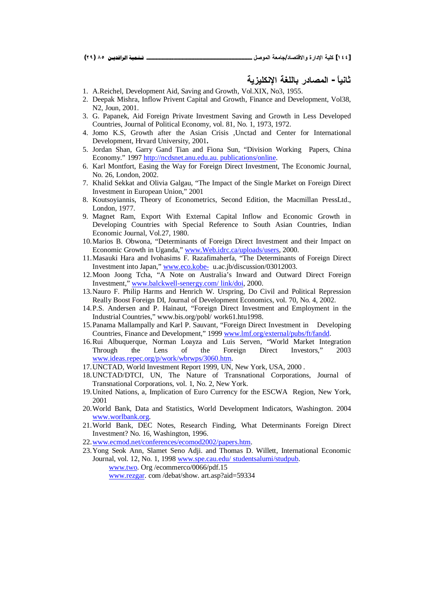## **ŗƒŨƒƄƂƈƗŒŗźƄƃœŕŧťœŮƆƃŒ -Ĺœƒƈœś**

- 1. A.Reichel, Development Aid, Saving and Growth, Vol.XIX, No3, 1955.
- 2. Deepak Mishra, Inflow Privent Capital and Growth, Finance and Development, Vol38, N2, Joun, 2001.
- 3. G. Papanek, Aid Foreign Private Investment Saving and Growth in Less Developed Countries, Journal of Political Economy, vol. 81, No. 1, 1973, 1972.
- 4. Jomo K.S, Growth after the Asian Crisis ,Unctad and Center for International Development, Hrvard University, 2001**.**
- 5. Jordan Shan, Garry Gand Tian and Fiona Sun, "Division Working Papers, China Economy." 1997 <http://ncdsnet.anu.edu.au.>publications/online.
- 6. Karl Montfort, Easing the Way for Foreign Direct Investment, The Economic Journal, No. 26, London, 2002.
- 7. Khalid Sekkat and Olivia Galgau, "The Impact of the Single Market on Foreign Direct Investment in European Union," 2001
- 8. Koutsoyiannis, Theory of Econometrics, Second Edition, the Macmillan PressLtd., London, 1977.
- 9. Magnet Ram, Export With External Capital Inflow and Economic Growth in Developing Countries with Special Reference to South Asian Countries, Indian Economic Journal, Vol.27, 1980.
- 10.Marios B. Obwona, "Determinants of Foreign Direct Investment and their Impact on Economic Growth in Uganda," [www.Web.idrc.ca/uploads/users,](http://www.Web.idrc.ca/uploads/users) 2000.
- 11.Masauki Hara and Ivohasims F. Razafimaherfa, "The Determinants of Foreign Direct Investment into Japan," [www.eco.kobe-](http://www.eco.kobe-) u.ac.jb/discussion/03012003.
- 12.Moon Joong Tcha, "A Note on Australia's Inward and Outward Direct Foreign Investment," [www.balckwell-senergy.com/](http://www.balckwell-senergy.com/) link/doi, 2000.
- 13.Nauro F. Philip Harms and Henrich W. Urspring, Do Civil and Political Repression Really Boost Foreign DI, Journal of Development Economics, vol. 70, No. 4, 2002.
- 14.P.S. Andersen and P. Hainaut, "Foreign Direct Investment and Employment in the Industrial Countries," [www.bis.org/pobl/](http://www.bis.org/pobl/) work61.htu1998.
- 15.Panama Mallampally and Karl P. Sauvant, "Foreign Direct Investment in Developing Countries, Finance and Development," 1999 [www.lmf.org/external/pubs/ft/fandd.](http://www.lmf.org/external/pubs/ft/fandd)
- 16.Rui Albuquerque, Norman Loayza and Luis Serven, "World Market Integration Through the Lens of the Foreign Direct Investors," 2003 [www.ideas.repec.org/p/work/wbrwps/3060.htm.](http://www.ideas.repec.org/p/work/wbrwps/3060.htm)
- 17.UNCTAD, World Investment Report 1999, UN, New York, USA, 2000 .
- 18.UNCTAD/DTCI, UN, The Nature of Transnational Corporations, Journal of Transnational Corporations, vol. 1, No. 2, New York.
- 19.United Nations, a, Implication of Euro Currency for the ESCWA Region, New York, 2001
- 20.World Bank, Data and Statistics, World Development Indicators, Washington. 2004 [www.worlbank.org.](http://www.worlbank.org)
- 21.World Bank, DEC Notes, Research Finding, What Determinants Foreign Direct Investment? No. 16, Washington, 1996.
- 22[.www.ecmod.net/conferences/ecomod2002/papers.htm.](http://www.ecmod.net/conferences/ecomod2002/papers.htm)
- 23.Yong Seok Ann, Slamet Seno Adji. and Thomas D. Willett, International Economic Journal, vol. 12, No. 1, 1998 [www.spe.cau.edu/](http://www.spe.cau.edu/) studentsalumi/studpub. www.two. Org /ecommerco/0066/pdf.15

www.rezgar. com /debat/show. art.asp?aid=59334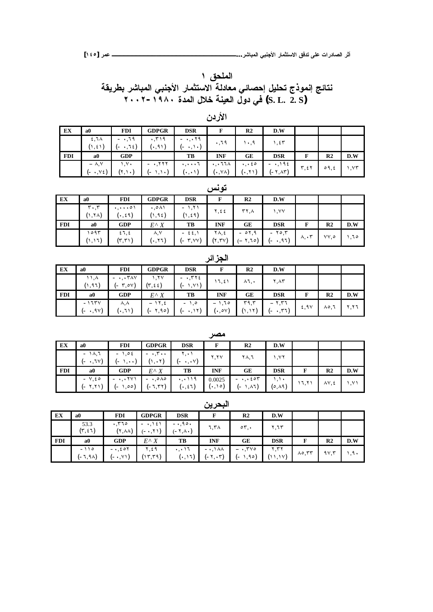الملحق ۱ نتائج إنموذج تحليل إحصائي معادلة الاستثمار الأجنبي المباشر بطريقة **ÏÍÍÏ-ÎÖÕÍŖťƆƃŒ¾ƚŤŗƈƒŶƃŒ¾ƍťƑż (S. L. 2. S)**

|                        |                                      |                             |                                                 | الأردن                        |                        |                                 |                          |                |                  |
|------------------------|--------------------------------------|-----------------------------|-------------------------------------------------|-------------------------------|------------------------|---------------------------------|--------------------------|----------------|------------------|
| a0                     | <b>FDI</b>                           | <b>GDPGR</b>                | <b>DSR</b>                                      | F                             | R <sub>2</sub>         | D.W                             |                          |                |                  |
| $2,7\lambda$<br>(1, 2) | $-1.79$<br>$\cdot$ , $\tau$ { }<br>- | ۰٫۳۱۹<br>(0.91)             | $-$ 19<br>$\cdot$ , $\cdot$ )<br>$\overline{a}$ | .79                           | ۰٫۹                    | ۱,٤٣                            |                          |                |                  |
| a0                     | <b>GDP</b>                           |                             | TB                                              | <b>INF</b>                    | <b>GE</b>              | <b>DSR</b>                      | F                        | R <sub>2</sub> | D.W              |
| $- \lambda$ . Y        | ۷۰.۱                                 | $ \cdot$ , $\tau \tau \tau$ | $\ddots$                                        | $\cdot$ , $\cdot$ 11 $\wedge$ | $\cdot$ , $\cdot$ 20   | $ \cdot$ , $\cdot$ 9 $\epsilon$ | $\mathbf{r}, \mathbf{r}$ | 09, 2          | $, \forall \tau$ |
|                        | (= •.V٤)                             | (۲.۱۰)                      | $\mathcal{L}$ , $\mathcal{L}$<br>۰              | $(\cdot,\cdot\,)$             | $(\cdot, \vee \wedge)$ | $\mathbf{u}$ , $\mathbf{v}$     | $(-\tau, \lambda \tau)$  |                |                  |

|            |                               |                                        |                     |                            | تونس       |                |            |                         |                |      |
|------------|-------------------------------|----------------------------------------|---------------------|----------------------------|------------|----------------|------------|-------------------------|----------------|------|
| ЕX         | a <sub>0</sub>                | <b>FDI</b>                             | <b>GDPGR</b>        | <b>DSR</b>                 | F          | R <sub>2</sub> | D.W        |                         |                |      |
|            | $\mathbf{r} \cdot \mathbf{r}$ | $\cdot, \cdot \cdot \cdot \circ \cdot$ | $\cdot$ ,011        | $-1,71$                    | ٢,٤٤       | $\mathbf{r}$   | ۱,۷۷       |                         |                |      |
|            | $(1,7\lambda)$                | $(\cdot, \epsilon \, \mathfrak{q})$    | $(1, 9\xi)$         | (1, 24)                    |            |                |            |                         |                |      |
| <b>FDI</b> | a0                            | <b>GDP</b>                             | $E^{\wedge} X$      | TВ                         | <b>INF</b> | GЕ             | <b>DSR</b> | F                       | R <sub>2</sub> | D.W  |
|            | ۱٥۹۳                          | 21,2                                   | ۸,۷                 | $-55,1$                    | ۲۸, ٤      | $-01,9$        | $-70,7$    | $\lambda, \cdot$ $\tau$ | VV,o           | ۱٬۶۰ |
|            | (١,١٦)                        | $(\tau,\tau)$ )                        | $(\cdot, \Upsilon)$ | $(-\tau, \forall \forall)$ | (Y, YY)    | (- ۲٫٦٥)       | (- •,৭६)   |                         |                |      |

|            |                                 |                          |                                  |                                                  | $\overline{\mathcal{F}}$ . $\overline{\mathcal{F}}$ . |                |                      |      |                |          |
|------------|---------------------------------|--------------------------|----------------------------------|--------------------------------------------------|-------------------------------------------------------|----------------|----------------------|------|----------------|----------|
| ЕX         | a0                              | <b>FDI</b>               | <b>GDPGR</b>                     | <b>DSR</b>                                       | F                                                     | R <sub>2</sub> | D.W                  |      |                |          |
|            | $\lambda$ , $\lambda$<br>(١.٩٦) | $ Y\wedge Y$<br>(- ۳.ºV) | ۱,۲۷<br>$(r, \epsilon \epsilon)$ | $ \cdot$ , $\mathsf{rrf}$ $\epsilon$<br>(- 1,Y1) | 11, 21                                                | ۸٦,٠           | $Y, \Lambda Y$       |      |                |          |
| <b>FDI</b> | a0                              | <b>GDP</b>               | $E^{\wedge} X$                   | TB                                               | <b>INF</b>                                            | GE             | <b>DSR</b>           |      | R <sub>2</sub> | D.W      |
|            | $-175V$<br>(- •,9Y)             | ۸,۸<br>$(\cdot, 71)$     | $-11, 2$<br>(- ۲٫۹۵)             | $-1,0$<br>(۱۲د. - )                              | $-1.70$<br>$(\cdot, \circ \vee)$                      | ۳۹,۳<br>(۱٫۱۲  | $-7,77$<br>$(-, 77)$ | 2,90 | ∧০.٦           | $Y, Y$ ٦ |

|            |                            |                                                 |                                         |                               | مصر                     |                      |                    |       |                  |      |
|------------|----------------------------|-------------------------------------------------|-----------------------------------------|-------------------------------|-------------------------|----------------------|--------------------|-------|------------------|------|
| EX         | a <sub>0</sub>             | <b>FDI</b>                                      | <b>GDPGR</b>                            | <b>DSR</b>                    | F                       | R <sub>2</sub>       | D.W                |       |                  |      |
|            | $-1$ $\lambda$ , $\lambda$ | $-1,05$                                         | $ \cdot$ , $\mathbf{r}$ $\cdot$ $\cdot$ | ۲.۰۱                          | Y, YY                   | ۲۸,٦                 | ۱٬۷۲               |       |                  |      |
|            | (- •,٦٧)                   | (- ۱,••)                                        | $(1, \cdot 1)$                          | $(-, \cdot, \cdot)$           |                         |                      |                    |       |                  |      |
| <b>FDI</b> | a0                         | <b>GDP</b>                                      | $E^{\wedge} X$                          | TВ                            | <b>INF</b>              | GE                   | <b>DSR</b>         | F     | R <sub>2</sub>   | D.W  |
|            | $-V$ , $\epsilon$ $\circ$  | $ \cdot$ , $\cdot$ $\uparrow$ $\vee$ $\uparrow$ | $- \cdot 0$ $\wedge \circ$              | $\cdot$ , $\cdot$ ) $\cdot$ 9 | 0.0025                  | $-$ ,, $\epsilon$ or | $\lambda, \lambda$ | 17,71 | $\lambda V, \xi$ | ۱٫۷۱ |
|            | (۱۲٫۲۱ –)                  | (ده.۱ -)                                        | (- ٦.٣٢)                                | $(\cdot, \epsilon \, \iota)$  | $(\cdot, \wedge \circ)$ | (- 1, 17)            | $(0, \lambda 9)$   |       |                  |      |

|            |                    |                                          |                                |                                      | البحرين                                      |                                   |                 |                         |                |                |
|------------|--------------------|------------------------------------------|--------------------------------|--------------------------------------|----------------------------------------------|-----------------------------------|-----------------|-------------------------|----------------|----------------|
| EX         | a <sub>0</sub>     | <b>FDI</b>                               | <b>GDPGR</b>                   | <b>DSR</b>                           | F                                            | R <sub>2</sub>                    | D.W             |                         |                |                |
|            | 53.3<br>(٣,٤٦)     | .770<br>$(Y, \lambda \lambda)$           | $-1.151$<br>$(-, 1)$           | $-0.90$<br>$(-7, \wedge \cdot)$      | ۲,۳۸                                         | $\circ \tau$ .                    | ۲,٦٣            |                         |                |                |
| <b>FDI</b> | $\bf{a0}$          | <b>GDP</b>                               | $E \wedge X$                   | TВ                                   | <b>INF</b>                                   | GE                                | <b>DSR</b>      | F                       | R <sub>2</sub> | D.W            |
|            | $-110$<br>(۵۸, ۲−) | $ \cdot$ , $\epsilon$ or<br>( - •, Y ۱ ) | ۲,٤۹<br>$(\gamma, \tau, \tau)$ | $\cdot$ , $\cdot$ ) $\tau$<br>(0,11) | $- \cdot 1 \wedge \wedge$<br>$(-\tau, \tau)$ | $ \mathsf{rv}\circ$<br>1,90)<br>- | ۲٫۳۲<br>(11,11) | $\lambda$ °, $\tau\tau$ | 9V,7           | $\mathfrak{g}$ |

|  |     | ٠ | <br>۰, |
|--|-----|---|--------|
|  | - - | ٠ | ٠      |

ا**لجز** ائر